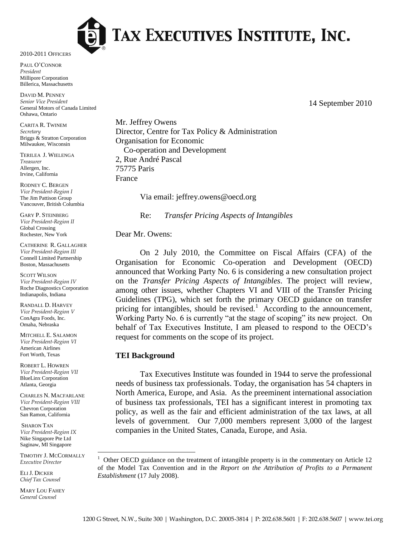

# TAX EXECUTIVES INSTITUTE, INC.

2010-2011 OFFICERS

PAUL O"CONNOR *President* Millipore Corporation Billerica, Massachusetts

DAVID M. PENNEY *Senior Vice President* General Motors of Canada Limited Oshawa, Ontario

CARITA R. TWINEM *Secretary* Briggs & Stratton Corporation Milwaukee, Wisconsin

TERILEA J. WIELENGA *Treasurer* Allergen, Inc. Irvine, California

RODNEY C. BERGEN *Vice President-Region I* The Jim Pattison Group Vancouver, British Columbia

GARY P. STEINBERG *Vice President-Region II* Global Crossing Rochester, New York

CATHERINE R. GALLAGHER *Vice President-Region III* Connell Limited Partnership Boston, Massachusetts

SCOTT WILSON *Vice President-Region IV* Roche Diagnostics Corporation Indianapolis, Indiana

RANDALL D. HARVEY *Vice President-Region V* ConAgra Foods, Inc. Omaha, Nebraska

MITCHELL E. SALAMON *Vice President-Region VI* American Airlines Fort Worth, Texas

ROBERT L. HOWREN *Vice President-Region VII* BlueLinx Corporation Atlanta, Georgia

CHARLES N. MACFARLANE *Vice President-Region VIII* Chevron Corporation San Ramon, California

SHARON TAN *Vice President-Region IX* Nike Singapore Pte Ltd Saginaw, MI Singapore

TIMOTHY J. MCCORMALLY *Executive Director*

 $\overline{a}$ 

ELI J. DICKER *Chief Tax Counsel*

MARY LOU FAHEY *General Counsel*

Mr. Jeffrey Owens Director, Centre for Tax Policy & Administration Organisation for Economic Co-operation and Development 2, Rue André Pascal 75775 Paris France

Via email: jeffrey.owens@oecd.org

Re: *Transfer Pricing Aspects of Intangibles* 

#### Dear Mr. Owens:

On 2 July 2010, the Committee on Fiscal Affairs (CFA) of the Organisation for Economic Co-operation and Development (OECD) announced that Working Party No. 6 is considering a new consultation project on the *Transfer Pricing Aspects of Intangibles*. The project will review, among other issues, whether Chapters VI and VIII of the Transfer Pricing Guidelines (TPG), which set forth the primary OECD guidance on transfer pricing for intangibles, should be revised.<sup>1</sup> According to the announcement, Working Party No. 6 is currently "at the stage of scoping" its new project. On behalf of Tax Executives Institute, I am pleased to respond to the OECD"s request for comments on the scope of its project.

#### **TEI Background**

Tax Executives Institute was founded in 1944 to serve the professional needs of business tax professionals. Today, the organisation has 54 chapters in North America, Europe, and Asia. As the preeminent international association of business tax professionals, TEI has a significant interest in promoting tax policy, as well as the fair and efficient administration of the tax laws, at all levels of government. Our 7,000 members represent 3,000 of the largest companies in the United States, Canada, Europe, and Asia.

14 September 2010

<sup>1</sup> Other OECD guidance on the treatment of intangible property is in the commentary on Article 12 of the Model Tax Convention and in the *Report on the Attribution of Profits to a Permanent Establishment* (17 July 2008).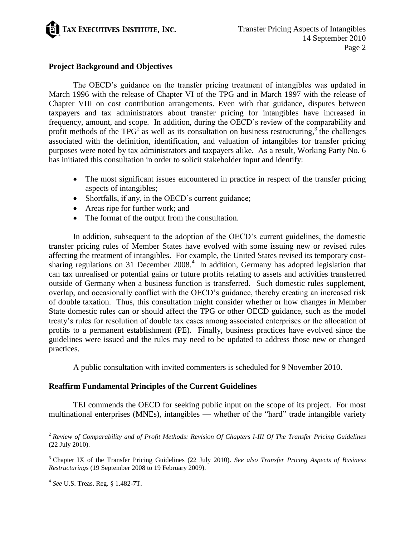

## **Project Background and Objectives**

The OECD"s guidance on the transfer pricing treatment of intangibles was updated in March 1996 with the release of Chapter VI of the TPG and in March 1997 with the release of Chapter VIII on cost contribution arrangements. Even with that guidance, disputes between taxpayers and tax administrators about transfer pricing for intangibles have increased in frequency, amount, and scope. In addition, during the OECD"s review of the comparability and profit methods of the TPG<sup>2</sup> as well as its consultation on business restructuring,<sup>3</sup> the challenges associated with the definition, identification, and valuation of intangibles for transfer pricing purposes were noted by tax administrators and taxpayers alike. As a result, Working Party No. 6 has initiated this consultation in order to solicit stakeholder input and identify:

- The most significant issues encountered in practice in respect of the transfer pricing aspects of intangibles;
- Shortfalls, if any, in the OECD's current guidance;
- Areas ripe for further work; and
- The format of the output from the consultation.

In addition, subsequent to the adoption of the OECD's current guidelines, the domestic transfer pricing rules of Member States have evolved with some issuing new or revised rules affecting the treatment of intangibles. For example, the United States revised its temporary costsharing regulations on 31 December 2008.<sup>4</sup> In addition, Germany has adopted legislation that can tax unrealised or potential gains or future profits relating to assets and activities transferred outside of Germany when a business function is transferred. Such domestic rules supplement, overlap, and occasionally conflict with the OECD"s guidance, thereby creating an increased risk of double taxation. Thus, this consultation might consider whether or how changes in Member State domestic rules can or should affect the TPG or other OECD guidance, such as the model treaty"s rules for resolution of double tax cases among associated enterprises or the allocation of profits to a permanent establishment (PE). Finally, business practices have evolved since the guidelines were issued and the rules may need to be updated to address those new or changed practices.

A public consultation with invited commenters is scheduled for 9 November 2010.

#### **Reaffirm Fundamental Principles of the Current Guidelines**

TEI commends the OECD for seeking public input on the scope of its project. For most multinational enterprises (MNEs), intangibles — whether of the "hard" trade intangible variety

 $\overline{a}$ 

<sup>2</sup> *Review of Comparability and of Profit Methods: Revision Of Chapters I-III Of The Transfer Pricing Guidelines* (22 July 2010).

<sup>3</sup> Chapter IX of the Transfer Pricing Guidelines (22 July 2010). *See also Transfer Pricing Aspects of Business Restructurings* (19 September 2008 to 19 February 2009).

<sup>4</sup> *See* U.S. Treas. Reg. § 1.482-7T.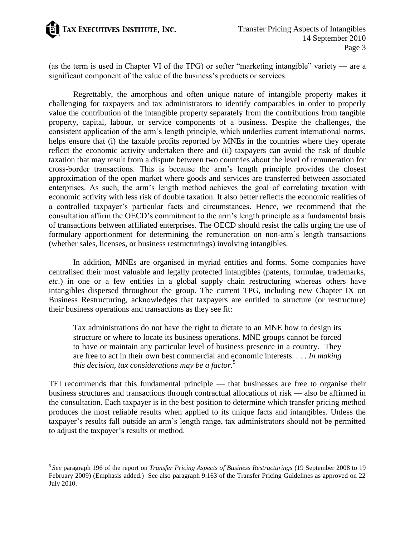

 $\overline{a}$ 

(as the term is used in Chapter VI of the TPG) or softer "marketing intangible" variety — are a significant component of the value of the business's products or services.

Regrettably, the amorphous and often unique nature of intangible property makes it challenging for taxpayers and tax administrators to identify comparables in order to properly value the contribution of the intangible property separately from the contributions from tangible property, capital, labour, or service components of a business. Despite the challenges, the consistent application of the arm"s length principle, which underlies current international norms, helps ensure that (i) the taxable profits reported by MNEs in the countries where they operate reflect the economic activity undertaken there and (ii) taxpayers can avoid the risk of double taxation that may result from a dispute between two countries about the level of remuneration for cross-border transactions. This is because the arm"s length principle provides the closest approximation of the open market where goods and services are transferred between associated enterprises. As such, the arm"s length method achieves the goal of correlating taxation with economic activity with less risk of double taxation. It also better reflects the economic realities of a controlled taxpayer"s particular facts and circumstances. Hence, we recommend that the consultation affirm the OECD"s commitment to the arm"s length principle as a fundamental basis of transactions between affiliated enterprises. The OECD should resist the calls urging the use of formulary apportionment for determining the remuneration on non-arm"s length transactions (whether sales, licenses, or business restructurings) involving intangibles.

In addition, MNEs are organised in myriad entities and forms. Some companies have centralised their most valuable and legally protected intangibles (patents, formulae, trademarks, *etc.*) in one or a few entities in a global supply chain restructuring whereas others have intangibles dispersed throughout the group. The current TPG, including new Chapter IX on Business Restructuring, acknowledges that taxpayers are entitled to structure (or restructure) their business operations and transactions as they see fit:

Tax administrations do not have the right to dictate to an MNE how to design its structure or where to locate its business operations. MNE groups cannot be forced to have or maintain any particular level of business presence in a country. They are free to act in their own best commercial and economic interests. . . . *In making this decision, tax considerations may be a factor.*<sup>5</sup>

TEI recommends that this fundamental principle — that businesses are free to organise their business structures and transactions through contractual allocations of risk — also be affirmed in the consultation. Each taxpayer is in the best position to determine which transfer pricing method produces the most reliable results when applied to its unique facts and intangibles. Unless the taxpayer"s results fall outside an arm"s length range, tax administrators should not be permitted to adjust the taxpayer"s results or method.

<sup>5</sup> *See* paragraph 196 of the report on *Transfer Pricing Aspects of Business Restructurings* (19 September 2008 to 19 February 2009) (Emphasis added.) See also paragraph 9.163 of the Transfer Pricing Guidelines as approved on 22 July 2010.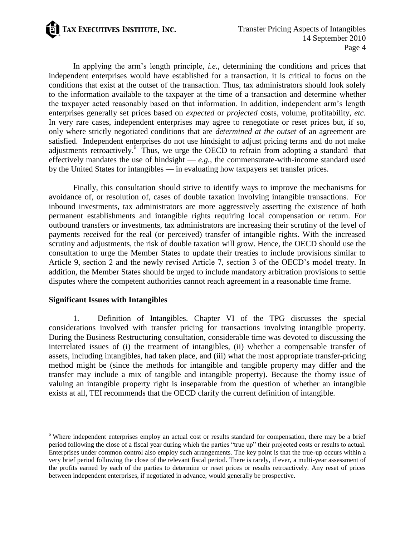TAX EXECUTIVES INSTITUTE, INC.

In applying the arm"s length principle, *i.e.*, determining the conditions and prices that independent enterprises would have established for a transaction, it is critical to focus on the conditions that exist at the outset of the transaction. Thus, tax administrators should look solely to the information available to the taxpayer at the time of a transaction and determine whether the taxpayer acted reasonably based on that information. In addition, independent arm"s length enterprises generally set prices based on *expected* or *projected* costs, volume, profitability, *etc.* In very rare cases, independent enterprises may agree to renegotiate or reset prices but, if so, only where strictly negotiated conditions that are *determined at the outset* of an agreement are satisfied. Independent enterprises do not use hindsight to adjust pricing terms and do not make adjustments retroactively.<sup>6</sup> Thus, we urge the OECD to refrain from adopting a standard that effectively mandates the use of hindsight  $-e.g.,$  the commensurate-with-income standard used by the United States for intangibles — in evaluating how taxpayers set transfer prices.

Finally, this consultation should strive to identify ways to improve the mechanisms for avoidance of, or resolution of, cases of double taxation involving intangible transactions. For inbound investments, tax administrators are more aggressively asserting the existence of both permanent establishments and intangible rights requiring local compensation or return. For outbound transfers or investments, tax administrators are increasing their scrutiny of the level of payments received for the real (or perceived) transfer of intangible rights. With the increased scrutiny and adjustments, the risk of double taxation will grow. Hence, the OECD should use the consultation to urge the Member States to update their treaties to include provisions similar to Article 9, section 2 and the newly revised Article 7, section 3 of the OECD"s model treaty. In addition, the Member States should be urged to include mandatory arbitration provisions to settle disputes where the competent authorities cannot reach agreement in a reasonable time frame.

#### **Significant Issues with Intangibles**

 $\overline{a}$ 

1. Definition of Intangibles. Chapter VI of the TPG discusses the special considerations involved with transfer pricing for transactions involving intangible property. During the Business Restructuring consultation, considerable time was devoted to discussing the interrelated issues of (i) the treatment of intangibles, (ii) whether a compensable transfer of assets, including intangibles, had taken place, and (iii) what the most appropriate transfer-pricing method might be (since the methods for intangible and tangible property may differ and the transfer may include a mix of tangible and intangible property). Because the thorny issue of valuing an intangible property right is inseparable from the question of whether an intangible exists at all, TEI recommends that the OECD clarify the current definition of intangible.

<sup>&</sup>lt;sup>6</sup> Where independent enterprises employ an actual cost or results standard for compensation, there may be a brief period following the close of a fiscal year during which the parties "true up" their projected costs or results to actual. Enterprises under common control also employ such arrangements. The key point is that the true-up occurs within a very brief period following the close of the relevant fiscal period. There is rarely, if ever, a multi-year assessment of the profits earned by each of the parties to determine or reset prices or results retroactively. Any reset of prices between independent enterprises, if negotiated in advance, would generally be prospective.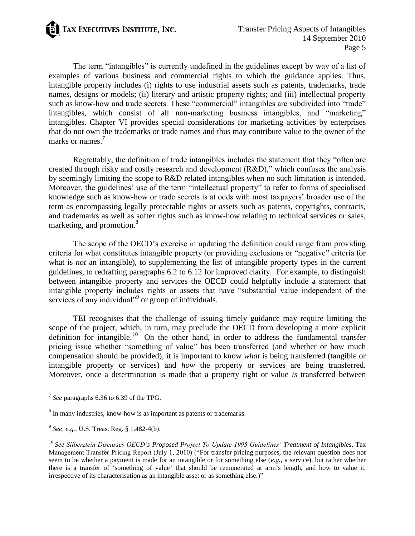

The term "intangibles" is currently undefined in the guidelines except by way of a list of examples of various business and commercial rights to which the guidance applies. Thus, intangible property includes (i) rights to use industrial assets such as patents, trademarks, trade names, designs or models; (ii) literary and artistic property rights; and (iii) intellectual property such as know-how and trade secrets. These "commercial" intangibles are subdivided into "trade" intangibles, which consist of all non-marketing business intangibles, and "marketing" intangibles. Chapter VI provides special considerations for marketing activities by enterprises that do not own the trademarks or trade names and thus may contribute value to the owner of the marks or names.<sup>7</sup>

Regrettably, the definition of trade intangibles includes the statement that they "often are created through risky and costly research and development (R&D)," which confuses the analysis by seemingly limiting the scope to R&D related intangibles when no such limitation is intended. Moreover, the guidelines' use of the term "intellectual property" to refer to forms of specialised knowledge such as know-how or trade secrets is at odds with most taxpayers" broader use of the term as encompassing legally protectable rights or assets such as patents, copyrights, contracts, and trademarks as well as softer rights such as know-how relating to technical services or sales, marketing, and promotion.<sup>8</sup>

The scope of the OECD's exercise in updating the definition could range from providing criteria for what constitutes intangible property (or providing exclusions or "negative" criteria for what is *not* an intangible), to supplementing the list of intangible property types in the current guidelines, to redrafting paragraphs 6.2 to 6.12 for improved clarity. For example, to distinguish between intangible property and services the OECD could helpfully include a statement that intangible property includes rights or assets that have "substantial value independent of the services of any individual"<sup>9</sup> or group of individuals.

TEI recognises that the challenge of issuing timely guidance may require limiting the scope of the project, which, in turn, may preclude the OECD from developing a more explicit definition for intangible.<sup>10</sup> On the other hand, in order to address the fundamental transfer pricing issue whether "something of value" has been transferred (and whether or how much compensation should be provided), it is important to know *what* is being transferred (tangible or intangible property or services) and *how* the property or services are being transferred. Moreover, once a determination is made that a property right or value *is* transferred between

 7 *See* paragraphs 6.36 to 6.39 of the TPG.

<sup>&</sup>lt;sup>8</sup> In many industries, know-how is as important as patents or trademarks.

<sup>9</sup> *See, e.g.*, U.S. Treas. Reg. § 1.482-4(b).

<sup>10</sup> *See Silberztein Discusses OECD's Proposed Project To Update 1995 Guidelines' Treatment of Intangibles*, Tax Management Transfer Pricing Report (July 1, 2010) ("For transfer pricing purposes, the relevant question does not seem to be whether a payment is made for an intangible or for something else (*e.g.*, a service), but rather whether there is a transfer of "something of value" that should be remunerated at arm"s length, and how to value it, irrespective of its characterisation as an intangible asset or as something else.)"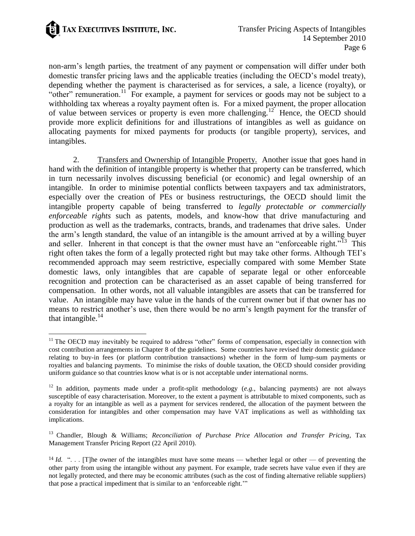

 $\overline{a}$ 

non-arm"s length parties, the treatment of any payment or compensation will differ under both domestic transfer pricing laws and the applicable treaties (including the OECD"s model treaty), depending whether the payment is characterised as for services, a sale, a licence (royalty), or "other" remuneration.<sup>11</sup> For example, a payment for services or goods may not be subject to a withholding tax whereas a royalty payment often is. For a mixed payment, the proper allocation of value between services or property is even more challenging.<sup>12</sup> Hence, the OECD should provide more explicit definitions for and illustrations of intangibles as well as guidance on allocating payments for mixed payments for products (or tangible property), services, and intangibles.

2. Transfers and Ownership of Intangible Property. Another issue that goes hand in hand with the definition of intangible property is whether that property can be transferred, which in turn necessarily involves discussing beneficial (or economic) and legal ownership of an intangible. In order to minimise potential conflicts between taxpayers and tax administrators, especially over the creation of PEs or business restructurings, the OECD should limit the intangible property capable of being transferred to *legally protectable or commercially enforceable rights* such as patents, models, and know-how that drive manufacturing and production as well as the trademarks, contracts, brands, and tradenames that drive sales. Under the arm"s length standard, the value of an intangible is the amount arrived at by a willing buyer and seller. Inherent in that concept is that the owner must have an "enforceable right."<sup>13</sup> This right often takes the form of a legally protected right but may take other forms. Although TEI"s recommended approach may seem restrictive, especially compared with some Member State domestic laws, only intangibles that are capable of separate legal or other enforceable recognition and protection can be characterised as an asset capable of being transferred for compensation. In other words, not all valuable intangibles are assets that can be transferred for value. An intangible may have value in the hands of the current owner but if that owner has no means to restrict another"s use, then there would be no arm"s length payment for the transfer of that intangible. $^{14}$ 

 $11$  The OECD may inevitably be required to address "other" forms of compensation, especially in connection with cost contribution arrangements in Chapter 8 of the guidelines. Some countries have revised their domestic guidance relating to buy-in fees (or platform contribution transactions) whether in the form of lump-sum payments or royalties and balancing payments. To minimise the risks of double taxation, the OECD should consider providing uniform guidance so that countries know what is or is not acceptable under international norms.

<sup>12</sup> In addition, payments made under a profit-split methodology (*e.g.*, balancing payments) are not always susceptible of easy characterisation. Moreover, to the extent a payment is attributable to mixed components, such as a royalty for an intangible as well as a payment for services rendered, the allocation of the payment between the consideration for intangibles and other compensation may have VAT implications as well as withholding tax implications.

<sup>13</sup> Chandler, Blough & Williams; *Reconciliation of Purchase Price Allocation and Transfer Pricing*, Tax Management Transfer Pricing Report (22 April 2010).

<sup>&</sup>lt;sup>14</sup> *Id.* "... [T]he owner of the intangibles must have some means — whether legal or other — of preventing the other party from using the intangible without any payment. For example, trade secrets have value even if they are not legally protected, and there may be economic attributes (such as the cost of finding alternative reliable suppliers) that pose a practical impediment that is similar to an "enforceable right.""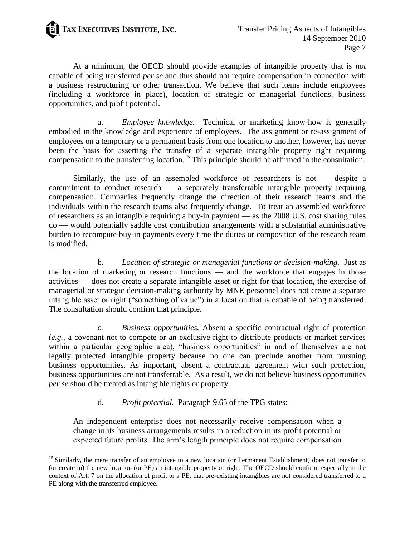

 $\overline{a}$ 

At a minimum, the OECD should provide examples of intangible property that is *not* capable of being transferred *per se* and thus should not require compensation in connection with a business restructuring or other transaction. We believe that such items include employees (including a workforce in place), location of strategic or managerial functions, business opportunities, and profit potential.

a. *Employee knowledge.* Technical or marketing know-how is generally embodied in the knowledge and experience of employees. The assignment or re-assignment of employees on a temporary or a permanent basis from one location to another, however, has never been the basis for asserting the transfer of a separate intangible property right requiring compensation to the transferring location.<sup>15</sup> This principle should be affirmed in the consultation.

Similarly, the use of an assembled workforce of researchers is not — despite a commitment to conduct research — a separately transferrable intangible property requiring compensation. Companies frequently change the direction of their research teams and the individuals within the research teams also frequently change. To treat an assembled workforce of researchers as an intangible requiring a buy-in payment — as the 2008 U.S. cost sharing rules do — would potentially saddle cost contribution arrangements with a substantial administrative burden to recompute buy-in payments every time the duties or composition of the research team is modified.

b. *Location of strategic or managerial functions or decision-making.* Just as the location of marketing or research functions — and the workforce that engages in those activities — does not create a separate intangible asset or right for that location, the exercise of managerial or strategic decision-making authority by MNE personnel does not create a separate intangible asset or right ("something of value") in a location that is capable of being transferred. The consultation should confirm that principle.

*c. Business opportunities.* Absent a specific contractual right of protection (*e.g.*, a covenant not to compete or an exclusive right to distribute products or market services within a particular geographic area), "business opportunities" in and of themselves are not legally protected intangible property because no one can preclude another from pursuing business opportunities. As important, absent a contractual agreement with such protection, business opportunities are not transferrable. As a result, we do not believe business opportunities *per se* should be treated as intangible rights or property.

#### d. *Profit potential.* Paragraph 9.65 of the TPG states:

An independent enterprise does not necessarily receive compensation when a change in its business arrangements results in a reduction in its profit potential or expected future profits. The arm"s length principle does not require compensation

<sup>&</sup>lt;sup>15</sup> Similarly, the mere transfer of an employee to a new location (or Permanent Establishment) does not transfer to (or create in) the new location (or PE) an intangible property or right. The OECD should confirm, especially in the context of Art. 7 on the allocation of profit to a PE, that pre-existing intangibles are not considered transferred to a PE along with the transferred employee.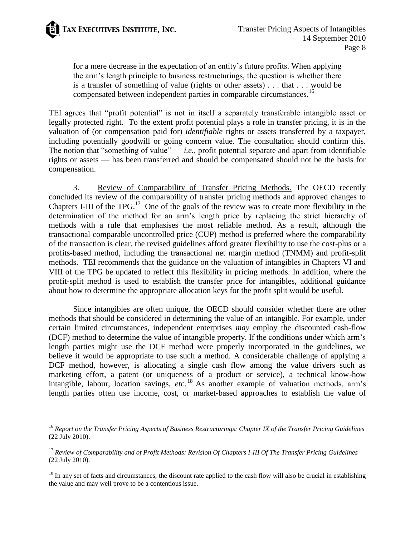for a mere decrease in the expectation of an entity"s future profits. When applying the arm"s length principle to business restructurings, the question is whether there is a transfer of something of value (rights or other assets) . . . that . . . would be compensated between independent parties in comparable circumstances.<sup>16</sup>

TEI agrees that "profit potential" is not in itself a separately transferable intangible asset or legally protected right. To the extent profit potential plays a role in transfer pricing, it is in the valuation of (or compensation paid for) *identifiable* rights or assets transferred by a taxpayer, including potentially goodwill or going concern value. The consultation should confirm this. The notion that "something of value"  $-i.e.,$  profit potential separate and apart from identifiable rights or assets — has been transferred and should be compensated should not be the basis for compensation.

3. Review of Comparability of Transfer Pricing Methods. The OECD recently concluded its review of the comparability of transfer pricing methods and approved changes to Chapters I-III of the TPG.<sup>17</sup> One of the goals of the review was to create more flexibility in the determination of the method for an arm"s length price by replacing the strict hierarchy of methods with a rule that emphasises the most reliable method. As a result, although the transactional comparable uncontrolled price (CUP) method is preferred where the comparability of the transaction is clear, the revised guidelines afford greater flexibility to use the cost-plus or a profits-based method, including the transactional net margin method (TNMM) and profit-split methods. TEI recommends that the guidance on the valuation of intangibles in Chapters VI and VIII of the TPG be updated to reflect this flexibility in pricing methods. In addition, where the profit-split method is used to establish the transfer price for intangibles, additional guidance about how to determine the appropriate allocation keys for the profit split would be useful.

Since intangibles are often unique, the OECD should consider whether there are other methods that should be considered in determining the value of an intangible. For example, under certain limited circumstances, independent enterprises *may* employ the discounted cash-flow (DCF) method to determine the value of intangible property. If the conditions under which arm"s length parties might use the DCF method were properly incorporated in the guidelines, we believe it would be appropriate to use such a method. A considerable challenge of applying a DCF method, however, is allocating a single cash flow among the value drivers such as marketing effort, a patent (or uniqueness of a product or service), a technical know-how intangible, labour, location savings, *etc*. <sup>18</sup> As another example of valuation methods, arm"s length parties often use income, cost, or market-based approaches to establish the value of

 $\ddot{\phantom{a}}$ <sup>16</sup> *Report on the Transfer Pricing Aspects of Business Restructurings: Chapter IX of the Transfer Pricing Guidelines* (22 July 2010).

<sup>17</sup> *Review of Comparability and of Profit Methods: Revision Of Chapters I-III Of The Transfer Pricing Guidelines* (22 July 2010).

 $18$  In any set of facts and circumstances, the discount rate applied to the cash flow will also be crucial in establishing the value and may well prove to be a contentious issue.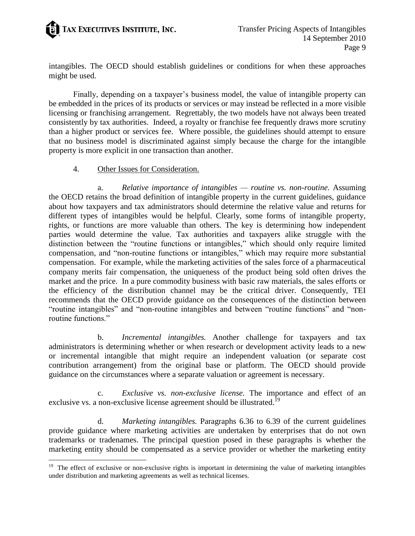

intangibles. The OECD should establish guidelines or conditions for when these approaches might be used.

Finally, depending on a taxpayer"s business model, the value of intangible property can be embedded in the prices of its products or services or may instead be reflected in a more visible licensing or franchising arrangement. Regrettably, the two models have not always been treated consistently by tax authorities. Indeed, a royalty or franchise fee frequently draws more scrutiny than a higher product or services fee. Where possible, the guidelines should attempt to ensure that no business model is discriminated against simply because the charge for the intangible property is more explicit in one transaction than another.

#### 4. Other Issues for Consideration.

 $\overline{a}$ 

a. *Relative importance of intangibles — routine vs. non-routine.* Assuming the OECD retains the broad definition of intangible property in the current guidelines, guidance about how taxpayers and tax administrators should determine the relative value and returns for different types of intangibles would be helpful. Clearly, some forms of intangible property, rights, or functions are more valuable than others. The key is determining how independent parties would determine the value. Tax authorities and taxpayers alike struggle with the distinction between the "routine functions or intangibles," which should only require limited compensation, and "non-routine functions or intangibles," which may require more substantial compensation. For example, while the marketing activities of the sales force of a pharmaceutical company merits fair compensation, the uniqueness of the product being sold often drives the market and the price. In a pure commodity business with basic raw materials, the sales efforts or the efficiency of the distribution channel may be the critical driver. Consequently, TEI recommends that the OECD provide guidance on the consequences of the distinction between "routine intangibles" and "non-routine intangibles and between "routine functions" and "nonroutine functions."

b. *Incremental intangibles.* Another challenge for taxpayers and tax administrators is determining whether or when research or development activity leads to a new or incremental intangible that might require an independent valuation (or separate cost contribution arrangement) from the original base or platform. The OECD should provide guidance on the circumstances where a separate valuation or agreement is necessary.

c. *Exclusive vs. non-exclusive license.* The importance and effect of an exclusive vs. a non-exclusive license agreement should be illustrated.<sup>19</sup>

d. *Marketing intangibles.* Paragraphs 6.36 to 6.39 of the current guidelines provide guidance where marketing activities are undertaken by enterprises that do not own trademarks or tradenames. The principal question posed in these paragraphs is whether the marketing entity should be compensated as a service provider or whether the marketing entity

<sup>&</sup>lt;sup>19</sup> The effect of exclusive or non-exclusive rights is important in determining the value of marketing intangibles under distribution and marketing agreements as well as technical licenses.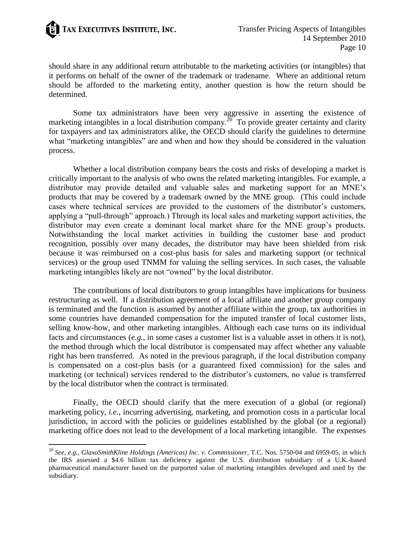

 $\ddot{\phantom{a}}$ 

should share in any additional return attributable to the marketing activities (or intangibles) that it performs on behalf of the owner of the trademark or tradename. Where an additional return should be afforded to the marketing entity, another question is how the return should be determined.

Some tax administrators have been very aggressive in asserting the existence of marketing intangibles in a local distribution company.<sup>20</sup> To provide greater certainty and clarity for taxpayers and tax administrators alike, the OECD should clarify the guidelines to determine what "marketing intangibles" are and when and how they should be considered in the valuation process.

Whether a local distribution company bears the costs and risks of developing a market is critically important to the analysis of who owns the related marketing intangibles. For example, a distributor may provide detailed and valuable sales and marketing support for an MNE"s products that may be covered by a trademark owned by the MNE group. (This could include cases where technical services are provided to the customers of the distributor"s customers, applying a "pull-through" approach.) Through its local sales and marketing support activities, the distributor may even create a dominant local market share for the MNE group's products. Notwithstanding the local market activities in building the customer base and product recognition, possibly over many decades, the distributor may have been shielded from risk because it was reimbursed on a cost-plus basis for sales and marketing support (or technical services) or the group used TNMM for valuing the selling services. In such cases, the valuable marketing intangibles likely are not "owned" by the local distributor.

The contributions of local distributors to group intangibles have implications for business restructuring as well. If a distribution agreement of a local affiliate and another group company is terminated and the function is assumed by another affiliate within the group, tax authorities in some countries have demanded compensation for the imputed transfer of local customer lists, selling know-how, and other marketing intangibles. Although each case turns on its individual facts and circumstances (*e.g.*, in some cases a customer list is a valuable asset in others it is not), the method through which the local distributor is compensated may affect whether any valuable right has been transferred. As noted in the previous paragraph, if the local distribution company is compensated on a cost-plus basis (or a guaranteed fixed commission) for the sales and marketing (or technical) services rendered to the distributor's customers, no value is transferred by the local distributor when the contract is terminated.

Finally, the OECD should clarify that the mere execution of a global (or regional) marketing policy, *i.e.,* incurring advertising, marketing, and promotion costs in a particular local jurisdiction, in accord with the policies or guidelines established by the global (or a regional) marketing office does not lead to the development of a local marketing intangible. The expenses

<sup>20</sup> *See, e.g., GlaxoSmithKline Holdings (Americas) Inc. v. Commissioner*, T.C. Nos. 5750-04 and 6959-05, in which the IRS assessed a \$4.6 billion tax deficiency against the U.S. distribution subsidiary of a U.K.-based pharmaceutical manufacturer based on the purported value of marketing intangibles developed and used by the subsidiary.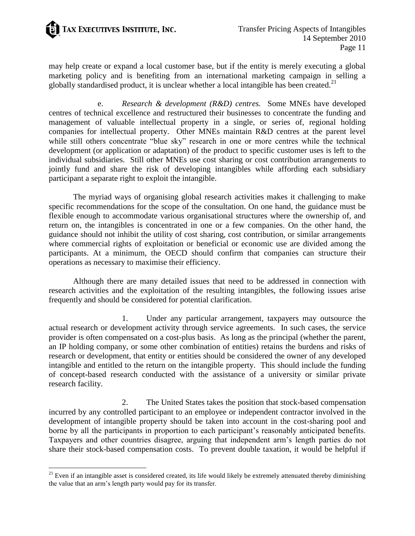

 $\ddot{\phantom{a}}$ 

may help create or expand a local customer base, but if the entity is merely executing a global marketing policy and is benefiting from an international marketing campaign in selling a globally standardised product, it is unclear whether a local intangible has been created.<sup>21</sup>

e. *Research & development (R&D) centres.* Some MNEs have developed centres of technical excellence and restructured their businesses to concentrate the funding and management of valuable intellectual property in a single, or series of, regional holding companies for intellectual property. Other MNEs maintain R&D centres at the parent level while still others concentrate "blue sky" research in one or more centres while the technical development (or application or adaptation) of the product to specific customer uses is left to the individual subsidiaries. Still other MNEs use cost sharing or cost contribution arrangements to jointly fund and share the risk of developing intangibles while affording each subsidiary participant a separate right to exploit the intangible.

The myriad ways of organising global research activities makes it challenging to make specific recommendations for the scope of the consultation. On one hand, the guidance must be flexible enough to accommodate various organisational structures where the ownership of, and return on, the intangibles is concentrated in one or a few companies. On the other hand, the guidance should not inhibit the utility of cost sharing, cost contribution, or similar arrangements where commercial rights of exploitation or beneficial or economic use are divided among the participants. At a minimum, the OECD should confirm that companies can structure their operations as necessary to maximise their efficiency.

Although there are many detailed issues that need to be addressed in connection with research activities and the exploitation of the resulting intangibles, the following issues arise frequently and should be considered for potential clarification.

1. Under any particular arrangement, taxpayers may outsource the actual research or development activity through service agreements. In such cases, the service provider is often compensated on a cost-plus basis. As long as the principal (whether the parent, an IP holding company, or some other combination of entities) retains the burdens and risks of research or development, that entity or entities should be considered the owner of any developed intangible and entitled to the return on the intangible property. This should include the funding of concept-based research conducted with the assistance of a university or similar private research facility.

2. The United States takes the position that stock-based compensation incurred by any controlled participant to an employee or independent contractor involved in the development of intangible property should be taken into account in the cost-sharing pool and borne by all the participants in proportion to each participant's reasonably anticipated benefits. Taxpayers and other countries disagree, arguing that independent arm"s length parties do not share their stock-based compensation costs. To prevent double taxation, it would be helpful if

 $21$  Even if an intangible asset is considered created, its life would likely be extremely attenuated thereby diminishing the value that an arm"s length party would pay for its transfer.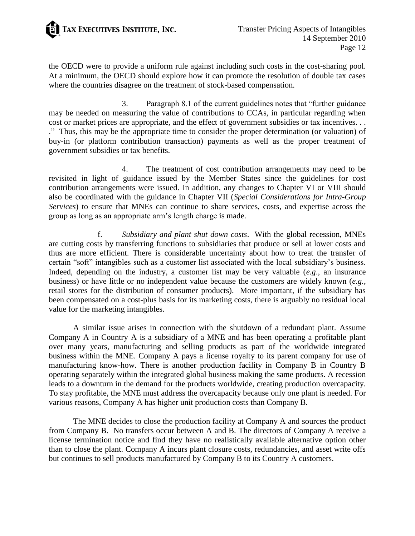

the OECD were to provide a uniform rule against including such costs in the cost-sharing pool. At a minimum, the OECD should explore how it can promote the resolution of double tax cases where the countries disagree on the treatment of stock-based compensation.

3. Paragraph 8.1 of the current guidelines notes that "further guidance may be needed on measuring the value of contributions to CCAs, in particular regarding when cost or market prices are appropriate, and the effect of government subsidies or tax incentives. . . ." Thus, this may be the appropriate time to consider the proper determination (or valuation) of buy-in (or platform contribution transaction) payments as well as the proper treatment of government subsidies or tax benefits.

4. The treatment of cost contribution arrangements may need to be revisited in light of guidance issued by the Member States since the guidelines for cost contribution arrangements were issued. In addition, any changes to Chapter VI or VIII should also be coordinated with the guidance in Chapter VII (*Special Considerations for Intra-Group Services*) to ensure that MNEs can continue to share services, costs, and expertise across the group as long as an appropriate arm"s length charge is made.

f. *Subsidiary and plant shut down costs*. With the global recession, MNEs are cutting costs by transferring functions to subsidiaries that produce or sell at lower costs and thus are more efficient. There is considerable uncertainty about how to treat the transfer of certain "soft" intangibles such as a customer list associated with the local subsidiary"s business. Indeed, depending on the industry, a customer list may be very valuable (*e.g*., an insurance business) or have little or no independent value because the customers are widely known (*e.g.*, retail stores for the distribution of consumer products). More important, if the subsidiary has been compensated on a cost-plus basis for its marketing costs, there is arguably no residual local value for the marketing intangibles.

A similar issue arises in connection with the shutdown of a redundant plant. Assume Company A in Country A is a subsidiary of a MNE and has been operating a profitable plant over many years, manufacturing and selling products as part of the worldwide integrated business within the MNE. Company A pays a license royalty to its parent company for use of manufacturing know-how. There is another production facility in Company B in Country B operating separately within the integrated global business making the same products. A recession leads to a downturn in the demand for the products worldwide, creating production overcapacity. To stay profitable, the MNE must address the overcapacity because only one plant is needed. For various reasons, Company A has higher unit production costs than Company B.

The MNE decides to close the production facility at Company A and sources the product from Company B. No transfers occur between A and B. The directors of Company A receive a license termination notice and find they have no realistically available alternative option other than to close the plant. Company A incurs plant closure costs, redundancies, and asset write offs but continues to sell products manufactured by Company B to its Country A customers.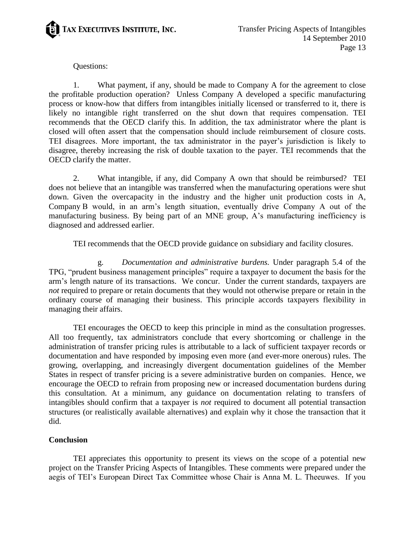

## Questions:

1. What payment, if any, should be made to Company A for the agreement to close the profitable production operation? Unless Company A developed a specific manufacturing process or know-how that differs from intangibles initially licensed or transferred to it, there is likely no intangible right transferred on the shut down that requires compensation. TEI recommends that the OECD clarify this. In addition, the tax administrator where the plant is closed will often assert that the compensation should include reimbursement of closure costs. TEI disagrees. More important, the tax administrator in the payer"s jurisdiction is likely to disagree, thereby increasing the risk of double taxation to the payer. TEI recommends that the OECD clarify the matter.

2. What intangible, if any, did Company A own that should be reimbursed? TEI does not believe that an intangible was transferred when the manufacturing operations were shut down. Given the overcapacity in the industry and the higher unit production costs in A, Company B would, in an arm"s length situation, eventually drive Company A out of the manufacturing business. By being part of an MNE group, A"s manufacturing inefficiency is diagnosed and addressed earlier.

TEI recommends that the OECD provide guidance on subsidiary and facility closures.

g. *Documentation and administrative burdens.* Under paragraph 5.4 of the TPG, "prudent business management principles" require a taxpayer to document the basis for the arm"s length nature of its transactions. We concur. Under the current standards, taxpayers are *not* required to prepare or retain documents that they would not otherwise prepare or retain in the ordinary course of managing their business. This principle accords taxpayers flexibility in managing their affairs.

TEI encourages the OECD to keep this principle in mind as the consultation progresses. All too frequently, tax administrators conclude that every shortcoming or challenge in the administration of transfer pricing rules is attributable to a lack of sufficient taxpayer records or documentation and have responded by imposing even more (and ever-more onerous) rules. The growing, overlapping, and increasingly divergent documentation guidelines of the Member States in respect of transfer pricing is a severe administrative burden on companies. Hence, we encourage the OECD to refrain from proposing new or increased documentation burdens during this consultation. At a minimum, any guidance on documentation relating to transfers of intangibles should confirm that a taxpayer is *not* required to document all potential transaction structures (or realistically available alternatives) and explain why it chose the transaction that it did.

#### **Conclusion**

TEI appreciates this opportunity to present its views on the scope of a potential new project on the Transfer Pricing Aspects of Intangibles. These comments were prepared under the aegis of TEI"s European Direct Tax Committee whose Chair is Anna M. L. Theeuwes. If you